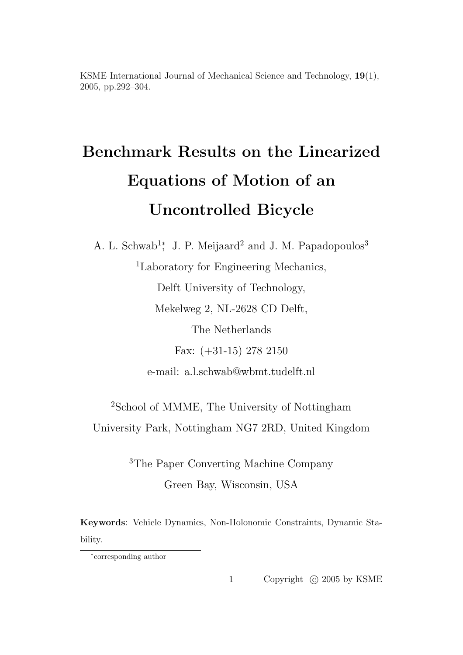# Benchmark Results on the Linearized Equations of Motion of an Uncontrolled Bicycle

A. L. Schwab<sup>1</sup><sup>\*</sup>, J. P. Meijaard<sup>2</sup> and J. M. Papadopoulos<sup>3</sup> <sup>1</sup>Laboratory for Engineering Mechanics, Delft University of Technology, Mekelweg 2, NL-2628 CD Delft, The Netherlands Fax: (+31-15) 278 2150 e-mail: a.l.schwab@wbmt.tudelft.nl

<sup>2</sup>School of MMME, The University of Nottingham University Park, Nottingham NG7 2RD, United Kingdom

> <sup>3</sup>The Paper Converting Machine Company Green Bay, Wisconsin, USA

Keywords: Vehicle Dynamics, Non-Holonomic Constraints, Dynamic Stability.

1 Copyright © 2005 by KSME

<sup>∗</sup> corresponding author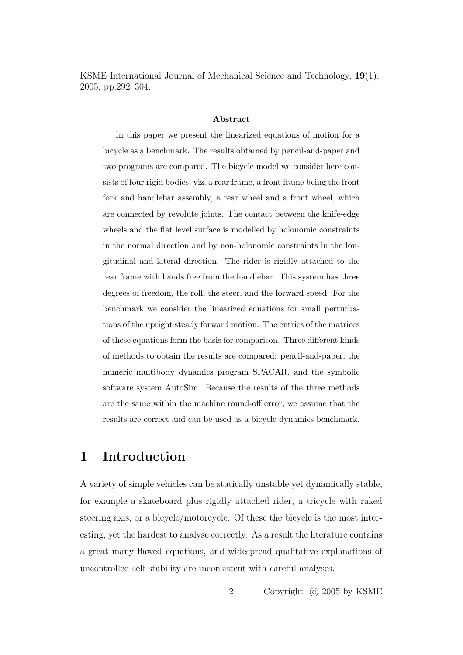#### Abstract

In this paper we present the linearized equations of motion for a bicycle as a benchmark. The results obtained by pencil-and-paper and two programs are compared. The bicycle model we consider here consists of four rigid bodies, viz. a rear frame, a front frame being the front fork and handlebar assembly, a rear wheel and a front wheel, which are connected by revolute joints. The contact between the knife-edge wheels and the flat level surface is modelled by holonomic constraints in the normal direction and by non-holonomic constraints in the longitudinal and lateral direction. The rider is rigidly attached to the rear frame with hands free from the handlebar. This system has three degrees of freedom, the roll, the steer, and the forward speed. For the benchmark we consider the linearized equations for small perturbations of the upright steady forward motion. The entries of the matrices of these equations form the basis for comparison. Three different kinds of methods to obtain the results are compared: pencil-and-paper, the numeric multibody dynamics program SPACAR, and the symbolic software system AutoSim. Because the results of the three methods are the same within the machine round-off error, we assume that the results are correct and can be used as a bicycle dynamics benchmark.

### 1 Introduction

A variety of simple vehicles can be statically unstable yet dynamically stable, for example a skateboard plus rigidly attached rider, a tricycle with raked steering axis, or a bicycle/motorcycle. Of these the bicycle is the most interesting, yet the hardest to analyse correctly. As a result the literature contains a great many flawed equations, and widespread qualitative explanations of uncontrolled self-stability are inconsistent with careful analyses.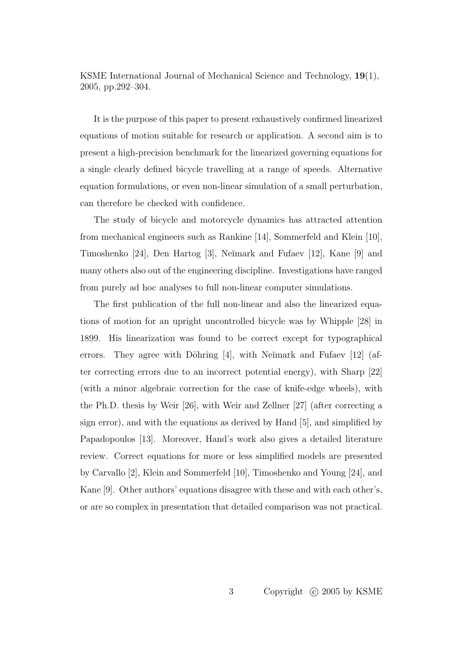It is the purpose of this paper to present exhaustively confirmed linearized equations of motion suitable for research or application. A second aim is to present a high-precision benchmark for the linearized governing equations for a single clearly defined bicycle travelling at a range of speeds. Alternative equation formulations, or even non-linear simulation of a small perturbation, can therefore be checked with confidence.

The study of bicycle and motorcycle dynamics has attracted attention from mechanical engineers such as Rankine [14], Sommerfeld and Klein [10], Timoshenko [24], Den Hartog [3], Neĭmark and Fufaev [12], Kane [9] and many others also out of the engineering discipline. Investigations have ranged from purely ad hoc analyses to full non-linear computer simulations.

The first publication of the full non-linear and also the linearized equations of motion for an upright uncontrolled bicycle was by Whipple [28] in 1899. His linearization was found to be correct except for typographical errors. They agree with Döhring  $[4]$ , with Neĭmark and Fufaev  $[12]$  (after correcting errors due to an incorrect potential energy), with Sharp [22] (with a minor algebraic correction for the case of knife-edge wheels), with the Ph.D. thesis by Weir [26], with Weir and Zellner [27] (after correcting a sign error), and with the equations as derived by Hand [5], and simplified by Papadopoulos [13]. Moreover, Hand's work also gives a detailed literature review. Correct equations for more or less simplified models are presented by Carvallo [2], Klein and Sommerfeld [10], Timoshenko and Young [24], and Kane [9]. Other authors' equations disagree with these and with each other's, or are so complex in presentation that detailed comparison was not practical.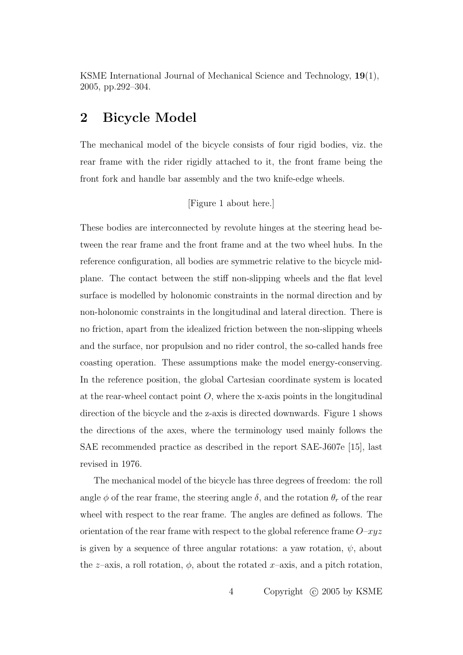### 2 Bicycle Model

The mechanical model of the bicycle consists of four rigid bodies, viz. the rear frame with the rider rigidly attached to it, the front frame being the front fork and handle bar assembly and the two knife-edge wheels.

[Figure 1 about here.]

These bodies are interconnected by revolute hinges at the steering head between the rear frame and the front frame and at the two wheel hubs. In the reference configuration, all bodies are symmetric relative to the bicycle midplane. The contact between the stiff non-slipping wheels and the flat level surface is modelled by holonomic constraints in the normal direction and by non-holonomic constraints in the longitudinal and lateral direction. There is no friction, apart from the idealized friction between the non-slipping wheels and the surface, nor propulsion and no rider control, the so-called hands free coasting operation. These assumptions make the model energy-conserving. In the reference position, the global Cartesian coordinate system is located at the rear-wheel contact point  $O$ , where the x-axis points in the longitudinal direction of the bicycle and the z-axis is directed downwards. Figure 1 shows the directions of the axes, where the terminology used mainly follows the SAE recommended practice as described in the report SAE-J607e [15], last revised in 1976.

The mechanical model of the bicycle has three degrees of freedom: the roll angle  $\phi$  of the rear frame, the steering angle  $\delta$ , and the rotation  $\theta_r$  of the rear wheel with respect to the rear frame. The angles are defined as follows. The orientation of the rear frame with respect to the global reference frame  $O-xyz$ is given by a sequence of three angular rotations: a yaw rotation,  $\psi$ , about the z–axis, a roll rotation,  $\phi$ , about the rotated x–axis, and a pitch rotation,

4 Copyright © 2005 by KSME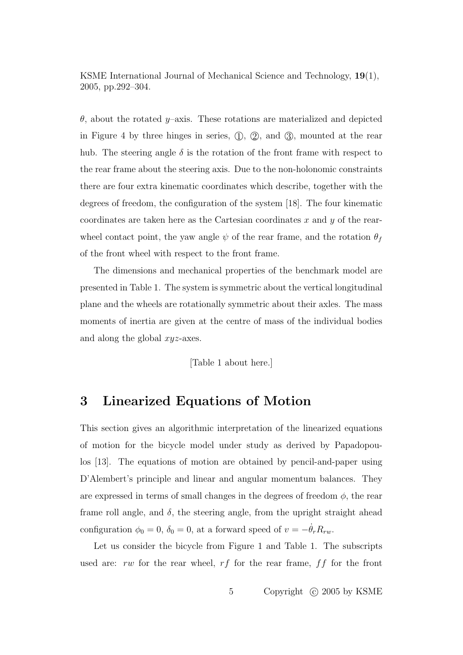θ, about the rotated y–axis. These rotations are materialized and depicted in Figure 4 by three hinges in series,  $(1)$ ,  $(2)$ , and  $(3)$ , mounted at the rear hub. The steering angle  $\delta$  is the rotation of the front frame with respect to the rear frame about the steering axis. Due to the non-holonomic constraints there are four extra kinematic coordinates which describe, together with the degrees of freedom, the configuration of the system [18]. The four kinematic coordinates are taken here as the Cartesian coordinates  $x$  and  $y$  of the rearwheel contact point, the yaw angle  $\psi$  of the rear frame, and the rotation  $\theta_f$ of the front wheel with respect to the front frame.

The dimensions and mechanical properties of the benchmark model are presented in Table 1. The system is symmetric about the vertical longitudinal plane and the wheels are rotationally symmetric about their axles. The mass moments of inertia are given at the centre of mass of the individual bodies and along the global xyz-axes.

[Table 1 about here.]

### 3 Linearized Equations of Motion

This section gives an algorithmic interpretation of the linearized equations of motion for the bicycle model under study as derived by Papadopoulos [13]. The equations of motion are obtained by pencil-and-paper using D'Alembert's principle and linear and angular momentum balances. They are expressed in terms of small changes in the degrees of freedom  $\phi$ , the rear frame roll angle, and  $\delta$ , the steering angle, from the upright straight ahead configuration  $\phi_0 = 0$ ,  $\delta_0 = 0$ , at a forward speed of  $v = -\dot{\theta}_r R_{rw}$ .

Let us consider the bicycle from Figure 1 and Table 1. The subscripts used are: rw for the rear wheel,  $rf$  for the rear frame,  $ff$  for the front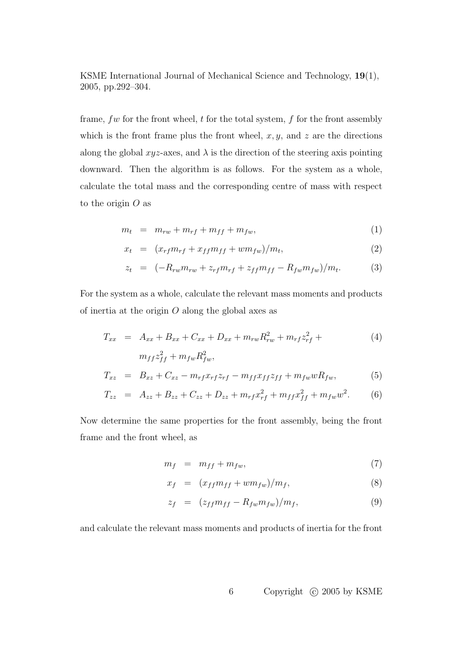frame,  $fw$  for the front wheel,  $t$  for the total system,  $f$  for the front assembly which is the front frame plus the front wheel,  $x, y$ , and  $z$  are the directions along the global  $xyz$ -axes, and  $\lambda$  is the direction of the steering axis pointing downward. Then the algorithm is as follows. For the system as a whole, calculate the total mass and the corresponding centre of mass with respect to the origin  $O$  as

$$
m_t = m_{rw} + m_{rf} + m_{ff} + m_{fw}, \t\t(1)
$$

$$
x_t = (x_{rf}m_{rf} + x_{ff}m_{ff} + w m_{fw})/m_t,
$$
\n(2)

$$
z_t = (-R_{rw}m_{rw} + z_{rf}m_{rf} + z_{ff}m_{ff} - R_{fw}m_{fw})/m_t.
$$
 (3)

For the system as a whole, calculate the relevant mass moments and products of inertia at the origin  $O$  along the global axes as

$$
T_{xx} = A_{xx} + B_{xx} + C_{xx} + D_{xx} + m_{rw}R_{rw}^2 + m_{rf}z_{rf}^2 +
$$
  
\n
$$
m_{ff}z_{ff}^2 + m_{fw}R_{fw}^2,
$$
\n(4)

$$
T_{xz} = B_{xz} + C_{xz} - m_{rf}x_{rf}z_{rf} - m_{ff}x_{ff}z_{ff} + m_{fw}wR_{fw}, \qquad (5)
$$

$$
T_{zz} = A_{zz} + B_{zz} + C_{zz} + D_{zz} + m_{rf}x_{rf}^2 + m_{ff}x_{ff}^2 + m_{fw}w^2.
$$
 (6)

Now determine the same properties for the front assembly, being the front frame and the front wheel, as

$$
m_f = m_{ff} + m_{fw}, \t\t(7)
$$

$$
x_f = (x_{ff}m_{ff} + w m_{fw})/m_f, \tag{8}
$$

$$
z_f = (z_{ff}m_{ff} - R_{fw}m_{fw})/m_f, \qquad (9)
$$

and calculate the relevant mass moments and products of inertia for the front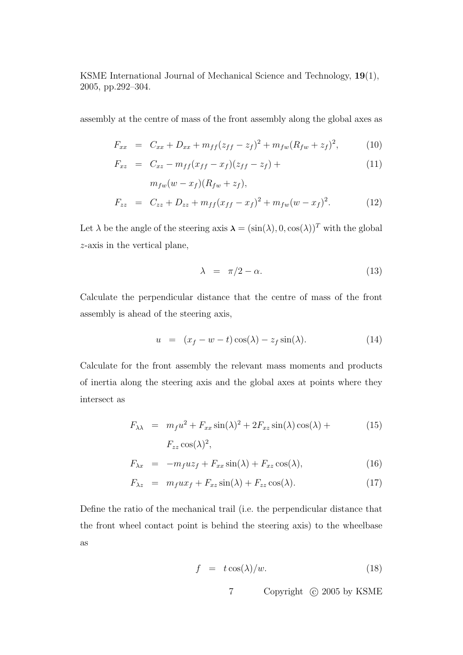assembly at the centre of mass of the front assembly along the global axes as

$$
F_{xx} = C_{xx} + D_{xx} + m_{ff}(z_{ff} - z_f)^2 + m_{fw}(R_{fw} + z_f)^2, \tag{10}
$$

$$
F_{xz} = C_{xz} - m_{ff}(x_{ff} - x_f)(z_{ff} - z_f) + \tag{11}
$$

$$
m_{fw}(w - x_f)(R_{fw} + z_f),
$$
  
\n
$$
F_{zz} = C_{zz} + D_{zz} + m_{ff}(x_{ff} - x_f)^2 + m_{fw}(w - x_f)^2.
$$
 (12)

Let  $\lambda$  be the angle of the steering axis  $\lambda = (\sin(\lambda), 0, \cos(\lambda))^T$  with the global z-axis in the vertical plane,

$$
\lambda = \pi/2 - \alpha. \tag{13}
$$

Calculate the perpendicular distance that the centre of mass of the front assembly is ahead of the steering axis,

$$
u = (x_f - w - t)\cos(\lambda) - z_f \sin(\lambda). \tag{14}
$$

Calculate for the front assembly the relevant mass moments and products of inertia along the steering axis and the global axes at points where they intersect as

$$
F_{\lambda\lambda} = m_f u^2 + F_{xx} \sin(\lambda)^2 + 2F_{xz} \sin(\lambda) \cos(\lambda) +
$$
  
\n
$$
F_{zz} \cos(\lambda)^2,
$$
\n(15)

$$
F_{\lambda x} = -m_f u z_f + F_{xx} \sin(\lambda) + F_{xz} \cos(\lambda), \qquad (16)
$$

$$
F_{\lambda z} = m_f u x_f + F_{xz} \sin(\lambda) + F_{zz} \cos(\lambda). \tag{17}
$$

Define the ratio of the mechanical trail (i.e. the perpendicular distance that the front wheel contact point is behind the steering axis) to the wheelbase as

$$
f = t \cos(\lambda)/w. \tag{18}
$$

7 Copyright © 2005 by KSME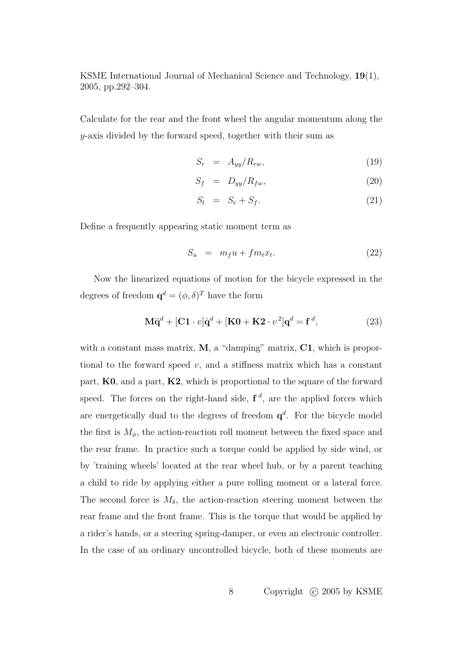Calculate for the rear and the front wheel the angular momentum along the y-axis divided by the forward speed, together with their sum as

$$
S_r = A_{yy}/R_{rw}, \t\t(19)
$$

$$
S_f = D_{yy}/R_{fw}, \t\t(20)
$$

$$
S_t = S_r + S_f. \tag{21}
$$

Define a frequently appearing static moment term as

$$
S_u = m_f u + f m_t x_t. \tag{22}
$$

Now the linearized equations of motion for the bicycle expressed in the degrees of freedom  $\mathbf{q}^d = (\phi, \delta)^T$  have the form

$$
\mathbf{M}\ddot{\mathbf{q}}^d + [\mathbf{C}\mathbf{1} \cdot v]\dot{\mathbf{q}}^d + [\mathbf{K}\mathbf{0} + \mathbf{K}\mathbf{2} \cdot v^2]\mathbf{q}^d = \mathbf{f}^d,\tag{23}
$$

with a constant mass matrix,  $M$ , a "damping" matrix,  $C1$ , which is proportional to the forward speed  $v$ , and a stiffness matrix which has a constant part,  $K0$ , and a part,  $K2$ , which is proportional to the square of the forward speed. The forces on the right-hand side,  $f^d$ , are the applied forces which are energetically dual to the degrees of freedom  $q^d$ . For the bicycle model the first is  $M_{\phi}$ , the action-reaction roll moment between the fixed space and the rear frame. In practice such a torque could be applied by side wind, or by 'training wheels' located at the rear wheel hub, or by a parent teaching a child to ride by applying either a pure rolling moment or a lateral force. The second force is  $M_{\delta}$ , the action-reaction steering moment between the rear frame and the front frame. This is the torque that would be applied by a rider's hands, or a steering spring-damper, or even an electronic controller. In the case of an ordinary uncontrolled bicycle, both of these moments are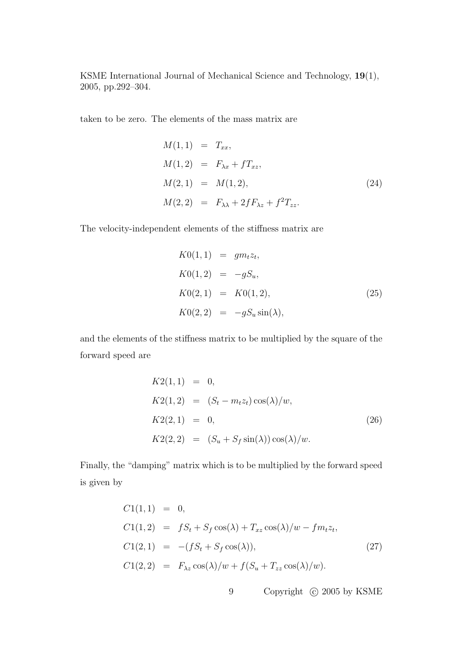taken to be zero. The elements of the mass matrix are

$$
M(1,1) = T_{xx},
$$
  
\n
$$
M(1,2) = F_{\lambda x} + fT_{xz},
$$
  
\n
$$
M(2,1) = M(1,2),
$$
  
\n
$$
M(2,2) = F_{\lambda \lambda} + 2fF_{\lambda z} + f^{2}T_{zz}.
$$
\n(24)

The velocity-independent elements of the stiffness matrix are

$$
K0(1,1) = gm_t z_t,
$$
  
\n
$$
K0(1,2) = -gS_u,
$$
  
\n
$$
K0(2,1) = K0(1,2),
$$
  
\n
$$
K0(2,2) = -gS_u \sin(\lambda),
$$
\n(25)

and the elements of the stiffness matrix to be multiplied by the square of the forward speed are

$$
K2(1,1) = 0,
$$
  
\n
$$
K2(1,2) = (S_t - m_t z_t) \cos(\lambda)/w,
$$
  
\n
$$
K2(2,1) = 0,
$$
  
\n
$$
K2(2,2) = (S_u + S_f \sin(\lambda)) \cos(\lambda)/w.
$$
  
\n(26)

Finally, the "damping" matrix which is to be multiplied by the forward speed is given by

$$
C1(1,1) = 0,
$$
  
\n
$$
C1(1,2) = fS_t + S_f \cos(\lambda) + T_{xz} \cos(\lambda)/w - fm_t z_t,
$$
  
\n
$$
C1(2,1) = -(fS_t + S_f \cos(\lambda)),
$$
  
\n
$$
C1(2,2) = F_{\lambda z} \cos(\lambda)/w + f(S_u + T_{zz} \cos(\lambda)/w).
$$
\n(27)

9 Copyright © 2005 by KSME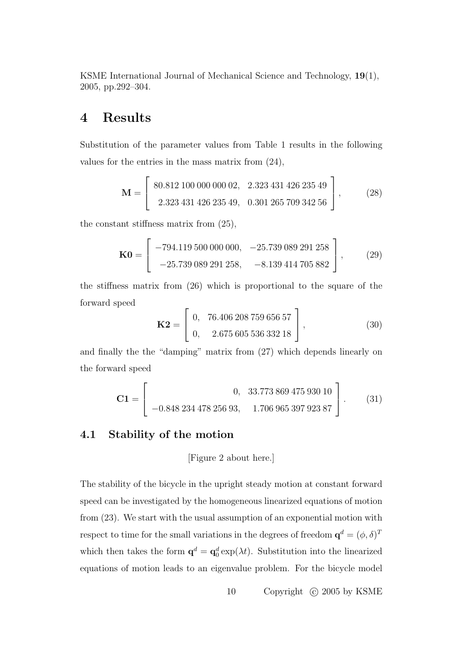### 4 Results

Substitution of the parameter values from Table 1 results in the following values for the entries in the mass matrix from (24),

$$
\mathbf{M} = \left[ \begin{array}{c} 80.812 \ 100 \ 000 \ 000 \ 02, & 2.323 \ 431 \ 426 \ 235 \ 49 \\ 2.323 \ 431 \ 426 \ 235 \ 49, & 0.301 \ 265 \ 709 \ 342 \ 56 \end{array} \right],
$$
 (28)

the constant stiffness matrix from (25),

$$
\mathbf{K0} = \begin{bmatrix} -794.119\ 500\ 000\ 000, & -25.739\ 089\ 291\ 258 \\ -25.739\ 089\ 291\ 258, & -8.139\ 414\ 705\ 882 \end{bmatrix},
$$
 (29)

the stiffness matrix from (26) which is proportional to the square of the forward speed  $\overline{r}$  $\overline{a}$ 

$$
\mathbf{K2} = \left[ \begin{array}{cc} 0, & 76.406 \, 208 \, 759 \, 656 \, 57 \\ 0, & 2.675 \, 605 \, 536 \, 332 \, 18 \end{array} \right],\tag{30}
$$

and finally the the "damping" matrix from (27) which depends linearly on the forward speed

$$
\mathbf{C1} = \begin{bmatrix} 0, & 33.77386947593010 \\ -0.84823447825693, & 1.70696539792387 \end{bmatrix} . \tag{31}
$$

#### 4.1 Stability of the motion

[Figure 2 about here.]

The stability of the bicycle in the upright steady motion at constant forward speed can be investigated by the homogeneous linearized equations of motion from (23). We start with the usual assumption of an exponential motion with respect to time for the small variations in the degrees of freedom  $\mathbf{q}^d = (\phi, \delta)^T$ which then takes the form  $\mathbf{q}^d = \mathbf{q}_0^d \exp(\lambda t)$ . Substitution into the linearized equations of motion leads to an eigenvalue problem. For the bicycle model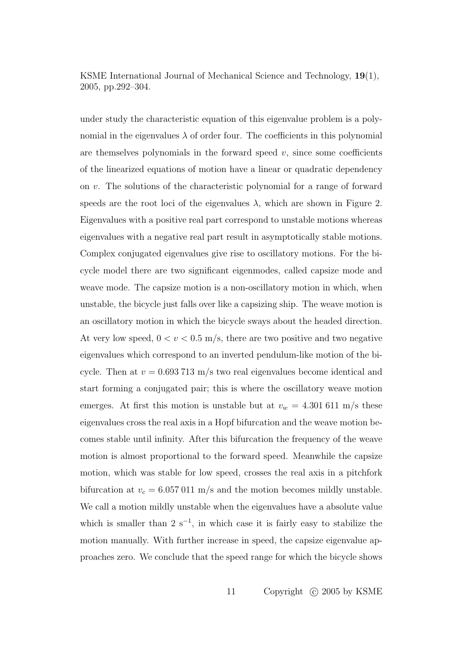under study the characteristic equation of this eigenvalue problem is a polynomial in the eigenvalues  $\lambda$  of order four. The coefficients in this polynomial are themselves polynomials in the forward speed  $v$ , since some coefficients of the linearized equations of motion have a linear or quadratic dependency on v. The solutions of the characteristic polynomial for a range of forward speeds are the root loci of the eigenvalues  $\lambda$ , which are shown in Figure 2. Eigenvalues with a positive real part correspond to unstable motions whereas eigenvalues with a negative real part result in asymptotically stable motions. Complex conjugated eigenvalues give rise to oscillatory motions. For the bicycle model there are two significant eigenmodes, called capsize mode and weave mode. The capsize motion is a non-oscillatory motion in which, when unstable, the bicycle just falls over like a capsizing ship. The weave motion is an oscillatory motion in which the bicycle sways about the headed direction. At very low speed,  $0 < v < 0.5$  m/s, there are two positive and two negative eigenvalues which correspond to an inverted pendulum-like motion of the bicycle. Then at  $v = 0.693713$  m/s two real eigenvalues become identical and start forming a conjugated pair; this is where the oscillatory weave motion emerges. At first this motion is unstable but at  $v_w = 4.301611$  m/s these eigenvalues cross the real axis in a Hopf bifurcation and the weave motion becomes stable until infinity. After this bifurcation the frequency of the weave motion is almost proportional to the forward speed. Meanwhile the capsize motion, which was stable for low speed, crosses the real axis in a pitchfork bifurcation at  $v_c = 6.057 \times 011 \text{ m/s}$  and the motion becomes mildly unstable. We call a motion mildly unstable when the eigenvalues have a absolute value which is smaller than  $2 s^{-1}$ , in which case it is fairly easy to stabilize the motion manually. With further increase in speed, the capsize eigenvalue approaches zero. We conclude that the speed range for which the bicycle shows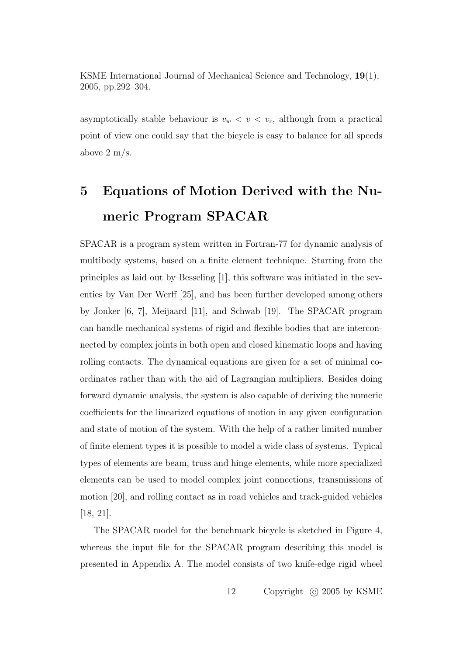asymptotically stable behaviour is  $v_w < v < v_c$ , although from a practical point of view one could say that the bicycle is easy to balance for all speeds above 2 m/s.

## 5 Equations of Motion Derived with the Numeric Program SPACAR

SPACAR is a program system written in Fortran-77 for dynamic analysis of multibody systems, based on a finite element technique. Starting from the principles as laid out by Besseling [1], this software was initiated in the seventies by Van Der Werff [25], and has been further developed among others by Jonker [6, 7], Meijaard [11], and Schwab [19]. The SPACAR program can handle mechanical systems of rigid and flexible bodies that are interconnected by complex joints in both open and closed kinematic loops and having rolling contacts. The dynamical equations are given for a set of minimal coordinates rather than with the aid of Lagrangian multipliers. Besides doing forward dynamic analysis, the system is also capable of deriving the numeric coefficients for the linearized equations of motion in any given configuration and state of motion of the system. With the help of a rather limited number of finite element types it is possible to model a wide class of systems. Typical types of elements are beam, truss and hinge elements, while more specialized elements can be used to model complex joint connections, transmissions of motion [20], and rolling contact as in road vehicles and track-guided vehicles [18, 21].

The SPACAR model for the benchmark bicycle is sketched in Figure 4, whereas the input file for the SPACAR program describing this model is presented in Appendix A. The model consists of two knife-edge rigid wheel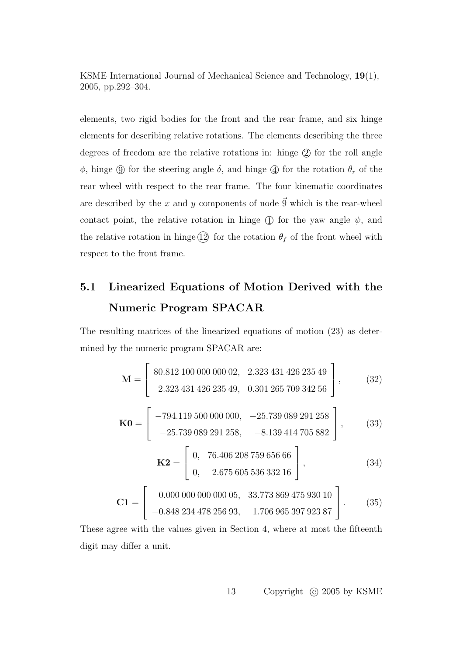elements, two rigid bodies for the front and the rear frame, and six hinge elements for describing relative rotations. The elements describing the three degrees of freedom are the relative rotations in: hinge  $(2)$  for the roll angle  $φ$ , hinge  $\circled{9}$  for the steering angle  $δ$ , and hinge  $\circled{4}$  for the rotation  $θ_r$  of the rear wheel with respect to the rear frame. The four kinematic coordinates are described by the x and y components of node  $\vec{9}$  which is the rear-wheel contact point, the relative rotation in hinge  $\circ$  for the yaw angle  $\psi$ , and the relative rotation in hinge  $(12)$  for the rotation  $\theta_f$  of the front wheel with respect to the front frame.

## 5.1 Linearized Equations of Motion Derived with the Numeric Program SPACAR

The resulting matrices of the linearized equations of motion (23) as determined by the numeric program SPACAR are:

$$
\mathbf{M} = \begin{bmatrix} 80.812 100 000 000 02, & 2.323 431 426 235 49 \\ 2.323 431 426 235 49, & 0.301 265 709 342 56 \end{bmatrix}, \qquad (32)
$$

$$
\mathbf{K0} = \begin{bmatrix} -794.119 500 000 000, & -25.739 089 291 258 \\ -25.739 089 291 258, & -8.139 414 705 882 \end{bmatrix}, \qquad (33)
$$

$$
\mathbf{K2} = \begin{bmatrix} 0, & 76.406 208 759 656 66 \\ 0, & 2.675 605 536 332 16 \end{bmatrix}, \qquad (34)
$$

$$
\mathbf{C1} = \begin{bmatrix} 0.000 000 000 000 005, & 33.773 869 475 930 10 \\ -0.848 234 478 256 93, & 1.706 965 397 923 87 \end{bmatrix}.
$$
 (35)

These agree with the values given in Section 4, where at most the fifteenth digit may differ a unit.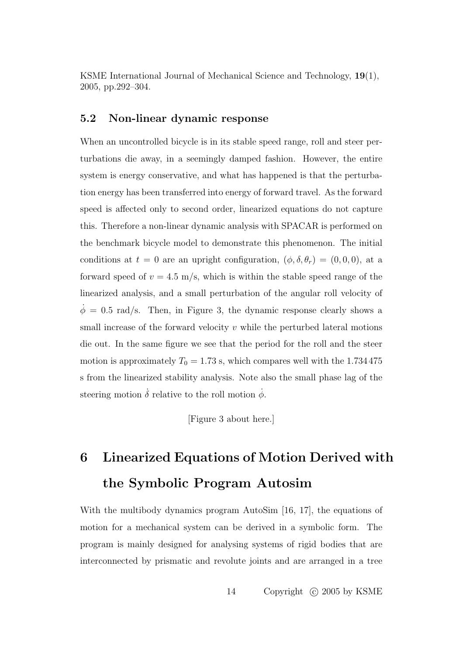### 5.2 Non-linear dynamic response

When an uncontrolled bicycle is in its stable speed range, roll and steer perturbations die away, in a seemingly damped fashion. However, the entire system is energy conservative, and what has happened is that the perturbation energy has been transferred into energy of forward travel. As the forward speed is affected only to second order, linearized equations do not capture this. Therefore a non-linear dynamic analysis with SPACAR is performed on the benchmark bicycle model to demonstrate this phenomenon. The initial conditions at  $t = 0$  are an upright configuration,  $(\phi, \delta, \theta_r) = (0, 0, 0)$ , at a forward speed of  $v = 4.5$  m/s, which is within the stable speed range of the linearized analysis, and a small perturbation of the angular roll velocity of  $\phi = 0.5$  rad/s. Then, in Figure 3, the dynamic response clearly shows a small increase of the forward velocity  $v$  while the perturbed lateral motions die out. In the same figure we see that the period for the roll and the steer motion is approximately  $T_0 = 1.73$  s, which compares well with the 1.734 475 s from the linearized stability analysis. Note also the small phase lag of the steering motion  $\dot{\delta}$  relative to the roll motion  $\dot{\phi}$ .

[Figure 3 about here.]

## 6 Linearized Equations of Motion Derived with the Symbolic Program Autosim

With the multibody dynamics program AutoSim [16, 17], the equations of motion for a mechanical system can be derived in a symbolic form. The program is mainly designed for analysing systems of rigid bodies that are interconnected by prismatic and revolute joints and are arranged in a tree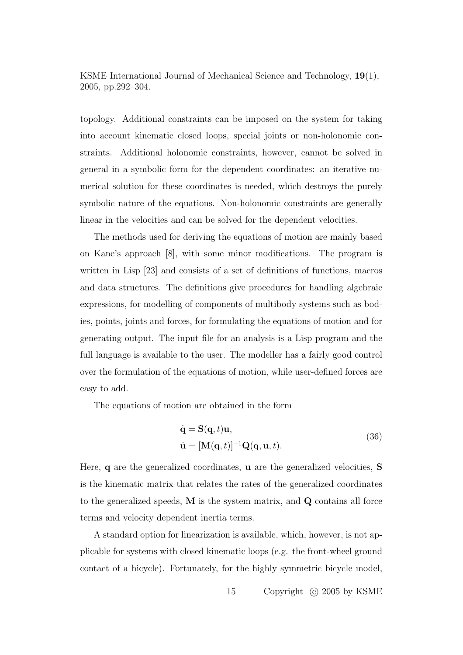topology. Additional constraints can be imposed on the system for taking into account kinematic closed loops, special joints or non-holonomic constraints. Additional holonomic constraints, however, cannot be solved in general in a symbolic form for the dependent coordinates: an iterative numerical solution for these coordinates is needed, which destroys the purely symbolic nature of the equations. Non-holonomic constraints are generally linear in the velocities and can be solved for the dependent velocities.

The methods used for deriving the equations of motion are mainly based on Kane's approach [8], with some minor modifications. The program is written in Lisp [23] and consists of a set of definitions of functions, macros and data structures. The definitions give procedures for handling algebraic expressions, for modelling of components of multibody systems such as bodies, points, joints and forces, for formulating the equations of motion and for generating output. The input file for an analysis is a Lisp program and the full language is available to the user. The modeller has a fairly good control over the formulation of the equations of motion, while user-defined forces are easy to add.

The equations of motion are obtained in the form

$$
\dot{\mathbf{q}} = \mathbf{S}(\mathbf{q}, t)\mathbf{u},
$$
  
\n
$$
\dot{\mathbf{u}} = [\mathbf{M}(\mathbf{q}, t)]^{-1} \mathbf{Q}(\mathbf{q}, \mathbf{u}, t).
$$
\n(36)

Here, q are the generalized coordinates, u are the generalized velocities, S is the kinematic matrix that relates the rates of the generalized coordinates to the generalized speeds, M is the system matrix, and Q contains all force terms and velocity dependent inertia terms.

A standard option for linearization is available, which, however, is not applicable for systems with closed kinematic loops (e.g. the front-wheel ground contact of a bicycle). Fortunately, for the highly symmetric bicycle model,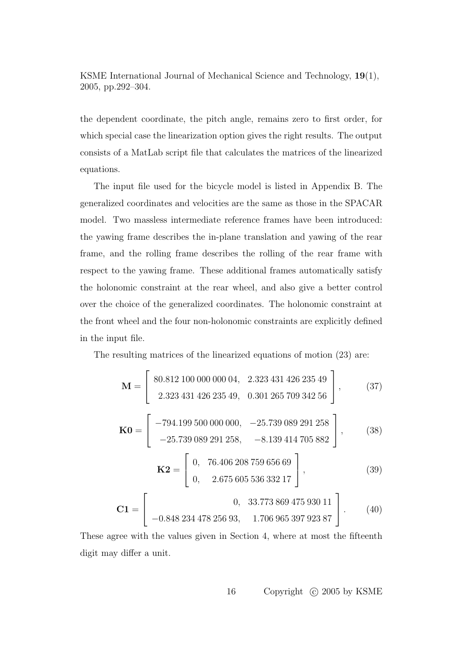the dependent coordinate, the pitch angle, remains zero to first order, for which special case the linearization option gives the right results. The output consists of a MatLab script file that calculates the matrices of the linearized equations.

The input file used for the bicycle model is listed in Appendix B. The generalized coordinates and velocities are the same as those in the SPACAR model. Two massless intermediate reference frames have been introduced: the yawing frame describes the in-plane translation and yawing of the rear frame, and the rolling frame describes the rolling of the rear frame with respect to the yawing frame. These additional frames automatically satisfy the holonomic constraint at the rear wheel, and also give a better control over the choice of the generalized coordinates. The holonomic constraint at the front wheel and the four non-holonomic constraints are explicitly defined in the input file.

The resulting matrices of the linearized equations of motion (23) are:

$$
\mathbf{M} = \begin{bmatrix} 80.812\ 100\ 000\ 000\ 04, & 2.323\ 431\ 426\ 235\ 49 \\ 2.323\ 431\ 426\ 235\ 49, & 0.301\ 265\ 709\ 342\ 56 \end{bmatrix}, \qquad (37)
$$

$$
\mathbf{K0} = \begin{bmatrix} -794.199\ 500\ 000\ 000, & -25.739\ 089\ 291\ 258 \\ -25.739\ 089\ 291\ 258, & -8.139\ 414\ 705\ 882 \end{bmatrix}, \qquad (38)
$$

$$
\mathbf{K2} = \begin{bmatrix} 0, & 76.406\ 208\ 759\ 656\ 69 \\ 0, & 2.675\ 605\ 536\ 332\ 17 \end{bmatrix}, \qquad (39)
$$

$$
\mathbf{C1} = \begin{bmatrix} 0, & 33.773\ 869\ 475\ 930\ 11 \\ -0.848\ 234\ 478\ 256\ 93, & 1.706\ 965\ 397\ 923\ 87 \end{bmatrix}. \qquad (40)
$$

These agree with the values given in Section 4, where at most the fifteenth digit may differ a unit.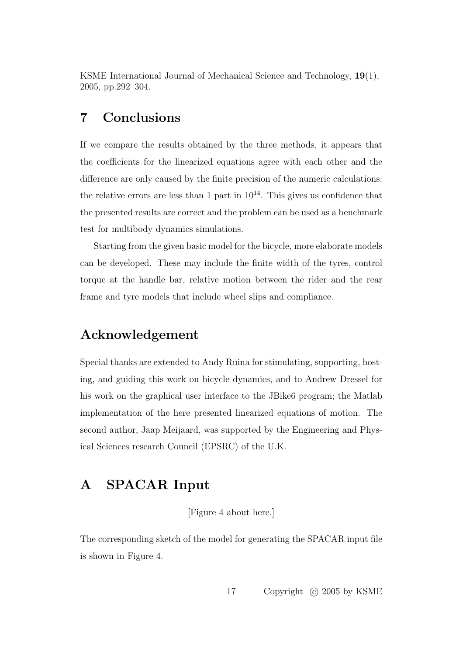### 7 Conclusions

If we compare the results obtained by the three methods, it appears that the coefficients for the linearized equations agree with each other and the difference are only caused by the finite precision of the numeric calculations: the relative errors are less than 1 part in  $10^{14}$ . This gives us confidence that the presented results are correct and the problem can be used as a benchmark test for multibody dynamics simulations.

Starting from the given basic model for the bicycle, more elaborate models can be developed. These may include the finite width of the tyres, control torque at the handle bar, relative motion between the rider and the rear frame and tyre models that include wheel slips and compliance.

### Acknowledgement

Special thanks are extended to Andy Ruina for stimulating, supporting, hosting, and guiding this work on bicycle dynamics, and to Andrew Dressel for his work on the graphical user interface to the JBike6 program; the Matlab implementation of the here presented linearized equations of motion. The second author, Jaap Meijaard, was supported by the Engineering and Physical Sciences research Council (EPSRC) of the U.K.

### A SPACAR Input

[Figure 4 about here.]

The corresponding sketch of the model for generating the SPACAR input file is shown in Figure 4.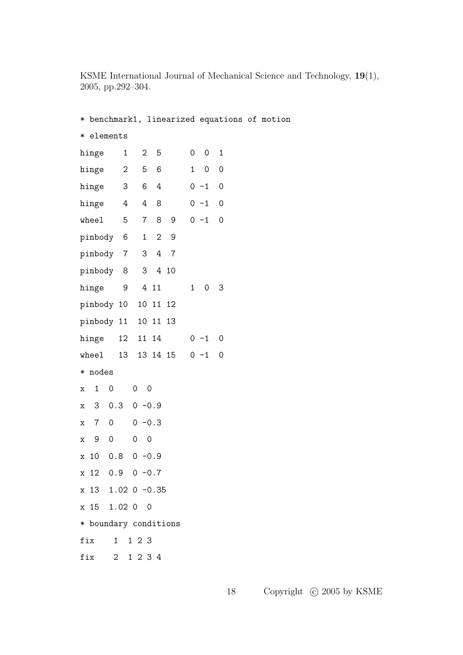| * benchmark1, linearized equations of motion |                   |                     |                |          |                |         |             |  |  |
|----------------------------------------------|-------------------|---------------------|----------------|----------|----------------|---------|-------------|--|--|
| * elements                                   |                   |                     |                |          |                |         |             |  |  |
| hinge                                        | $\mathbf{1}$      | 2 <sup>1</sup>      | 5              |          | $\overline{0}$ | 0       | 1           |  |  |
| hinge                                        | $2^{\circ}$       | 5                   | 6              |          | $\mathbf{1}$   | 0       | $\mathbf 0$ |  |  |
| hinge                                        | 3                 | 6                   | 4              |          |                | $0 - 1$ | $\mathbf 0$ |  |  |
| hinge                                        | $4\overline{ }$   | 4                   | 8              |          |                | $0 - 1$ | $\mathbf 0$ |  |  |
| wheel                                        | 5                 | 7 <sup>7</sup>      | 8              | 9        |                | $0 - 1$ | $\mathbf 0$ |  |  |
| pinbody 6                                    |                   | $\mathbf{1}$        | $\overline{2}$ | 9        |                |         |             |  |  |
| pinbody 7                                    |                   | 3 <sup>7</sup>      |                | 4 7      |                |         |             |  |  |
| pinbody 8                                    |                   | 3 <sup>7</sup>      |                | 4 10     |                |         |             |  |  |
| hinge                                        | 9                 |                     | 4 11           |          | $\mathbf{1}$   | 0       | 3           |  |  |
| pinbody 10 10 11 12                          |                   |                     |                |          |                |         |             |  |  |
| pinbody 11 10 11 13                          |                   |                     |                |          |                |         |             |  |  |
| hinge                                        | 12                | 11 14               |                |          |                | $0 - 1$ | 0           |  |  |
| where1                                       | 13                |                     |                | 13 14 15 |                | $0 - 1$ | 0           |  |  |
| * nodes                                      |                   |                     |                |          |                |         |             |  |  |
| $\mathbf{1}$<br>0<br>X                       |                   | 0<br>$\overline{0}$ |                |          |                |         |             |  |  |
| 30.3<br>x                                    |                   | $0 - 0.9$           |                |          |                |         |             |  |  |
| 7 <sup>7</sup><br>0<br>x                     |                   | $0 - 0.3$           |                |          |                |         |             |  |  |
| 9<br>$\mathsf O$<br>х                        |                   | 0<br>$\mathbf 0$    |                |          |                |         |             |  |  |
| x 10 0.8 0 -0.9                              |                   |                     |                |          |                |         |             |  |  |
| x 12 0.9 0 -0.7                              |                   |                     |                |          |                |         |             |  |  |
|                                              | x 13 1.02 0 -0.35 |                     |                |          |                |         |             |  |  |
| x 15 1.02 0 0                                |                   |                     |                |          |                |         |             |  |  |
| * boundary conditions                        |                   |                     |                |          |                |         |             |  |  |
| fix 1 1 2 3                                  |                   |                     |                |          |                |         |             |  |  |
| fix 2 1 2 3 4                                |                   |                     |                |          |                |         |             |  |  |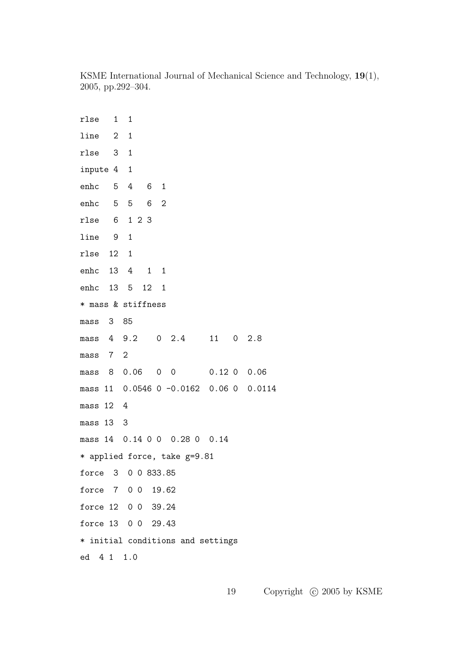rlse 1 1 line 2 1 rlse 3 1 inpute 4 1 enhc 5 4 6 1 enhc 5 5 6 2 rlse 6 1 2 3 line 9 1 rlse 12 1 enhc 13 4 1 1 enhc 13 5 12 1 \* mass & stiffness mass 3 85 mass 4 9.2 0 2.4 11 0 2.8 mass 7 2 mass 8 0.06 0 0 0.12 0 0.06 mass 11 0.0546 0 -0.0162 0.06 0 0.0114 mass 12 4 mass 13 3 mass 14 0.14 0 0 0.28 0 0.14 \* applied force, take g=9.81 force 3 0 0 833.85 force 7 0 0 19.62 force 12 0 0 39.24 force 13 0 0 29.43 \* initial conditions and settings ed 4 1 1.0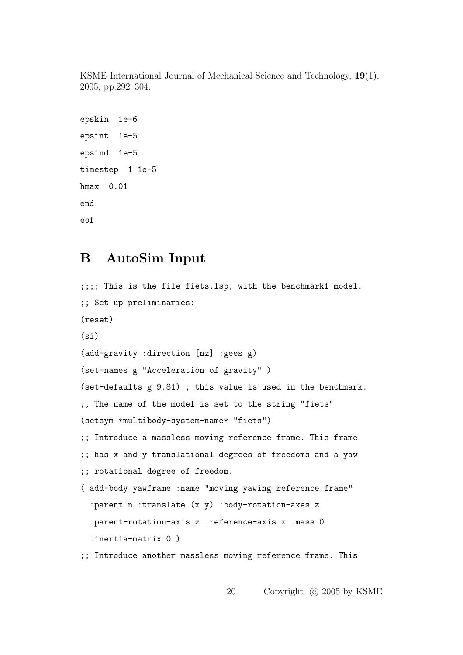```
epskin 1e-6
epsint 1e-5
epsind 1e-5
timestep 1 1e-5
hmax 0.01
end
eof
```
### B AutoSim Input

```
;;;; This is the file fiets.lsp, with the benchmark1 model.
;; Set up preliminaries:
(reset)
(si)
(add-gravity :direction [nz] :gees g)
(set-names g "Acceleration of gravity" )
(set-defaults g 9.81) ; this value is used in the benchmark.
;; The name of the model is set to the string "fiets"
(setsym *multibody-system-name* "fiets")
;; Introduce a massless moving reference frame. This frame
;; has x and y translational degrees of freedoms and a yaw
;; rotational degree of freedom.
( add-body yawframe :name "moving yawing reference frame"
  :parent n :translate (x y) :body-rotation-axes z
  :parent-rotation-axis z :reference-axis x :mass 0
  :inertia-matrix 0 )
;; Introduce another massless moving reference frame. This
```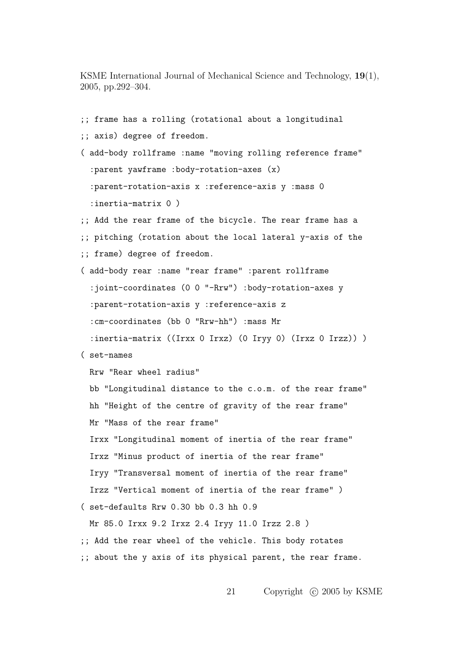;; frame has a rolling (rotational about a longitudinal ;; axis) degree of freedom. ( add-body rollframe :name "moving rolling reference frame" :parent yawframe :body-rotation-axes (x) :parent-rotation-axis x :reference-axis y :mass 0 :inertia-matrix 0 ) ;; Add the rear frame of the bicycle. The rear frame has a ;; pitching (rotation about the local lateral y-axis of the ;; frame) degree of freedom. ( add-body rear :name "rear frame" :parent rollframe :joint-coordinates (0 0 "-Rrw") :body-rotation-axes y :parent-rotation-axis y :reference-axis z :cm-coordinates (bb 0 "Rrw-hh") :mass Mr :inertia-matrix ((Irxx 0 Irxz) (0 Iryy 0) (Irxz 0 Irzz)) ) ( set-names Rrw "Rear wheel radius" bb "Longitudinal distance to the c.o.m. of the rear frame" hh "Height of the centre of gravity of the rear frame" Mr "Mass of the rear frame" Irxx "Longitudinal moment of inertia of the rear frame" Irxz "Minus product of inertia of the rear frame" Iryy "Transversal moment of inertia of the rear frame" Irzz "Vertical moment of inertia of the rear frame" ) ( set-defaults Rrw 0.30 bb 0.3 hh 0.9 Mr 85.0 Irxx 9.2 Irxz 2.4 Iryy 11.0 Irzz 2.8 ) ;; Add the rear wheel of the vehicle. This body rotates ;; about the y axis of its physical parent, the rear frame.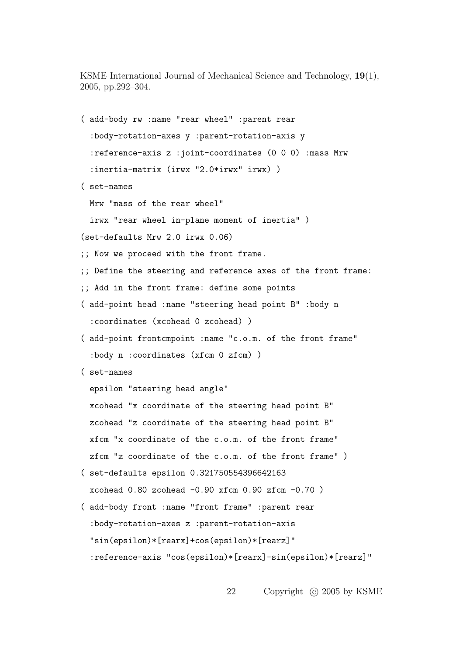( add-body rw :name "rear wheel" :parent rear :body-rotation-axes y :parent-rotation-axis y :reference-axis z :joint-coordinates (0 0 0) :mass Mrw :inertia-matrix (irwx "2.0\*irwx" irwx) ) ( set-names Mrw "mass of the rear wheel" irwx "rear wheel in-plane moment of inertia" ) (set-defaults Mrw 2.0 irwx 0.06) ;; Now we proceed with the front frame. ;; Define the steering and reference axes of the front frame: ;; Add in the front frame: define some points ( add-point head :name "steering head point B" :body n :coordinates (xcohead 0 zcohead) ) ( add-point frontcmpoint :name "c.o.m. of the front frame" :body n :coordinates (xfcm 0 zfcm) ) ( set-names epsilon "steering head angle" xcohead "x coordinate of the steering head point B" zcohead "z coordinate of the steering head point B" xfcm "x coordinate of the c.o.m. of the front frame" zfcm "z coordinate of the c.o.m. of the front frame" ) ( set-defaults epsilon 0.321750554396642163 xcohead  $0.80$  zcohead  $-0.90$  xfcm  $0.90$  zfcm  $-0.70$ ) ( add-body front :name "front frame" :parent rear :body-rotation-axes z :parent-rotation-axis "sin(epsilon)\*[rearx]+cos(epsilon)\*[rearz]" :reference-axis "cos(epsilon)\*[rearx]-sin(epsilon)\*[rearz]"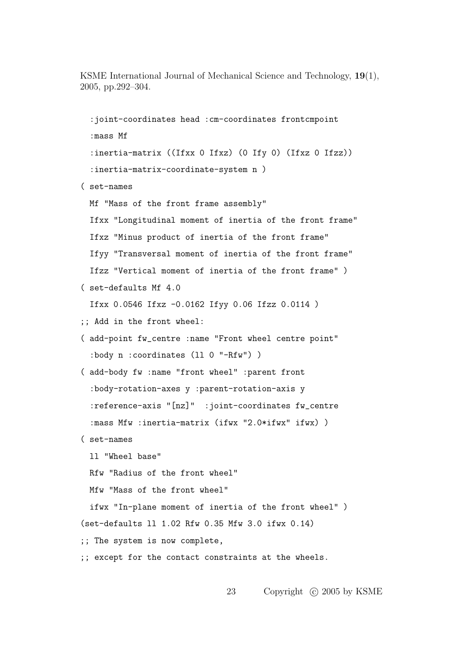:joint-coordinates head :cm-coordinates frontcmpoint :mass Mf :inertia-matrix ((Ifxx 0 Ifxz) (0 Ify 0) (Ifxz 0 Ifzz)) :inertia-matrix-coordinate-system n ) ( set-names Mf "Mass of the front frame assembly" Ifxx "Longitudinal moment of inertia of the front frame" Ifxz "Minus product of inertia of the front frame" Ifyy "Transversal moment of inertia of the front frame" Ifzz "Vertical moment of inertia of the front frame" ) ( set-defaults Mf 4.0 Ifxx 0.0546 Ifxz -0.0162 Ifyy 0.06 Ifzz 0.0114 ) ;; Add in the front wheel: ( add-point fw\_centre :name "Front wheel centre point" :body n :coordinates (ll 0 "-Rfw") ) ( add-body fw :name "front wheel" :parent front :body-rotation-axes y :parent-rotation-axis y :reference-axis "[nz]" :joint-coordinates fw\_centre :mass Mfw :inertia-matrix (ifwx "2.0\*ifwx" ifwx) ) ( set-names ll "Wheel base" Rfw "Radius of the front wheel" Mfw "Mass of the front wheel" ifwx "In-plane moment of inertia of the front wheel" ) (set-defaults ll 1.02 Rfw 0.35 Mfw 3.0 ifwx 0.14) ;; The system is now complete, ;; except for the contact constraints at the wheels.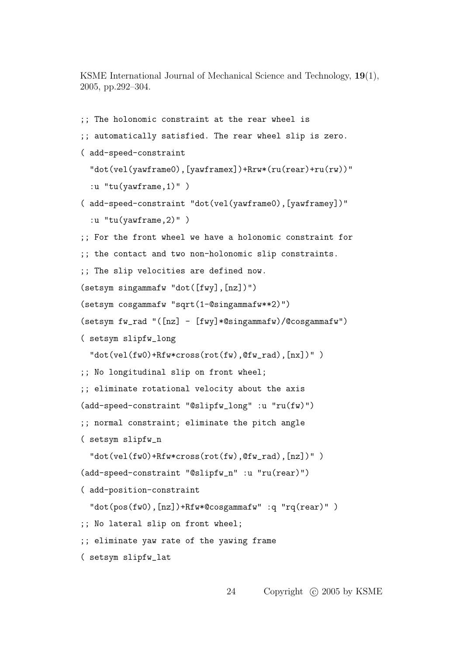```
;; The holonomic constraint at the rear wheel is
;; automatically satisfied. The rear wheel slip is zero.
( add-speed-constraint
  "dot(vel(yawframe0),[yawframex])+Rrw*(ru(rear)+ru(rw))"
  :u "tu(yawframe,1)" )
( add-speed-constraint "dot(vel(yawframe0),[yawframey])"
  :u "tu(yawframe,2)" )
;; For the front wheel we have a holonomic constraint for
;; the contact and two non-holonomic slip constraints.
;; The slip velocities are defined now.
(setsym singammafw "dot([fwy],[nz])")
(setsym cosgammafw "sqrt(1-@singammafw**2)")
(setsym fw_rad "([nz] - [fwy]*@singammafw)/@cosgammafw")
( setsym slipfw_long
  "dot(vel(fw0) + Rfw*cross(rot(fw), @fw_rad), [nx])" );; No longitudinal slip on front wheel;
;; eliminate rotational velocity about the axis
(add-speed-constraint "@slipfw_long" :u "ru(fw)")
;; normal constraint; eliminate the pitch angle
( setsym slipfw_n
  "dot(vel(fw0)+Rfw*cross(rot(fw),@fw_rad),[nz])" )
(add-speed-constraint "@slipfw_n" :u "ru(rear)")
( add-position-constraint
  "dot(pos(fw0),[nz])+Rfw*@cosgammafw" :q "rq(rear)" )
;; No lateral slip on front wheel;
;; eliminate yaw rate of the yawing frame
( setsym slipfw_lat
```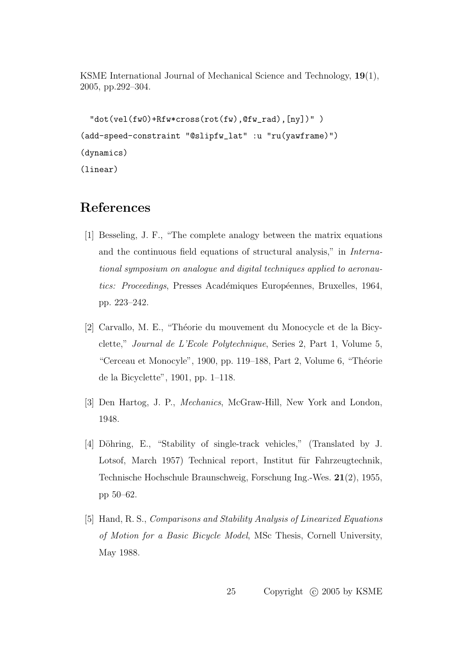```
"dot(vel(fw0)+Rfw*cross(rot(fw),@fw_rad),[ny])" )
(add-speed-constraint "@slipfw_lat" :u "ru(yawframe)")
(dynamics)
(linear)
```
### References

- [1] Besseling, J. F., "The complete analogy between the matrix equations and the continuous field equations of structural analysis," in International symposium on analogue and digital techniques applied to aeronautics: Proceedings, Presses Académiques Européennes, Bruxelles, 1964, pp. 223–242.
- [2] Carvallo, M. E., "Théorie du mouvement du Monocycle et de la Bicyclette," Journal de L'Ecole Polytechnique, Series 2, Part 1, Volume 5, "Cerceau et Monocyle", 1900, pp. 119–188, Part 2, Volume 6, "Théorie de la Bicyclette", 1901, pp. 1–118.
- [3] Den Hartog, J. P., Mechanics, McGraw-Hill, New York and London, 1948.
- [4] Döhring, E., "Stability of single-track vehicles," (Translated by J. Lotsof, March 1957) Technical report, Institut für Fahrzeugtechnik, Technische Hochschule Braunschweig, Forschung Ing.-Wes. 21(2), 1955, pp 50–62.
- [5] Hand, R. S., Comparisons and Stability Analysis of Linearized Equations of Motion for a Basic Bicycle Model, MSc Thesis, Cornell University, May 1988.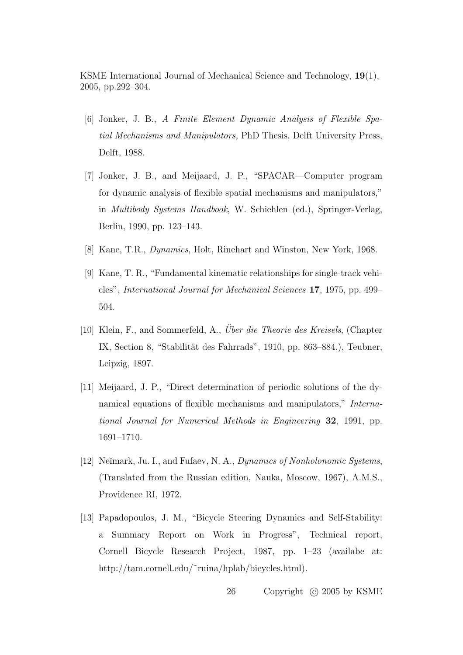- [6] Jonker, J. B., A Finite Element Dynamic Analysis of Flexible Spatial Mechanisms and Manipulators, PhD Thesis, Delft University Press, Delft, 1988.
- [7] Jonker, J. B., and Meijaard, J. P., "SPACAR—Computer program for dynamic analysis of flexible spatial mechanisms and manipulators," in Multibody Systems Handbook, W. Schiehlen (ed.), Springer-Verlag, Berlin, 1990, pp. 123–143.
- [8] Kane, T.R., Dynamics, Holt, Rinehart and Winston, New York, 1968.
- [9] Kane, T. R., "Fundamental kinematic relationships for single-track vehicles", International Journal for Mechanical Sciences 17, 1975, pp. 499– 504.
- [10] Klein, F., and Sommerfeld, A., *Über die Theorie des Kreisels*, (Chapter IX, Section 8, "Stabilität des Fahrrads", 1910, pp. 863–884.), Teubner, Leipzig, 1897.
- [11] Meijaard, J. P., "Direct determination of periodic solutions of the dynamical equations of flexible mechanisms and manipulators," International Journal for Numerical Methods in Engineering 32, 1991, pp. 1691–1710.
- [12] Neĭmark, Ju. I., and Fufaev, N. A., Dynamics of Nonholonomic Systems, (Translated from the Russian edition, Nauka, Moscow, 1967), A.M.S., Providence RI, 1972.
- [13] Papadopoulos, J. M., "Bicycle Steering Dynamics and Self-Stability: a Summary Report on Work in Progress", Technical report, Cornell Bicycle Research Project, 1987, pp. 1–23 (availabe at: http://tam.cornell.edu/˜ruina/hplab/bicycles.html).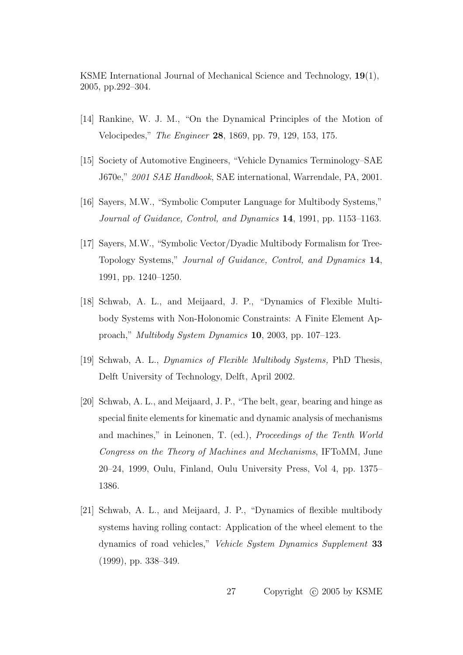- [14] Rankine, W. J. M., "On the Dynamical Principles of the Motion of Velocipedes," The Engineer 28, 1869, pp. 79, 129, 153, 175.
- [15] Society of Automotive Engineers, "Vehicle Dynamics Terminology–SAE J670e," 2001 SAE Handbook, SAE international, Warrendale, PA, 2001.
- [16] Sayers, M.W., "Symbolic Computer Language for Multibody Systems," Journal of Guidance, Control, and Dynamics 14, 1991, pp. 1153–1163.
- [17] Sayers, M.W., "Symbolic Vector/Dyadic Multibody Formalism for Tree-Topology Systems," Journal of Guidance, Control, and Dynamics 14, 1991, pp. 1240–1250.
- [18] Schwab, A. L., and Meijaard, J. P., "Dynamics of Flexible Multibody Systems with Non-Holonomic Constraints: A Finite Element Approach," Multibody System Dynamics 10, 2003, pp. 107–123.
- [19] Schwab, A. L., Dynamics of Flexible Multibody Systems, PhD Thesis, Delft University of Technology, Delft, April 2002.
- [20] Schwab, A. L., and Meijaard, J. P., "The belt, gear, bearing and hinge as special finite elements for kinematic and dynamic analysis of mechanisms and machines," in Leinonen, T. (ed.), Proceedings of the Tenth World Congress on the Theory of Machines and Mechanisms, IFToMM, June 20–24, 1999, Oulu, Finland, Oulu University Press, Vol 4, pp. 1375– 1386.
- [21] Schwab, A. L., and Meijaard, J. P., "Dynamics of flexible multibody systems having rolling contact: Application of the wheel element to the dynamics of road vehicles," Vehicle System Dynamics Supplement 33 (1999), pp. 338–349.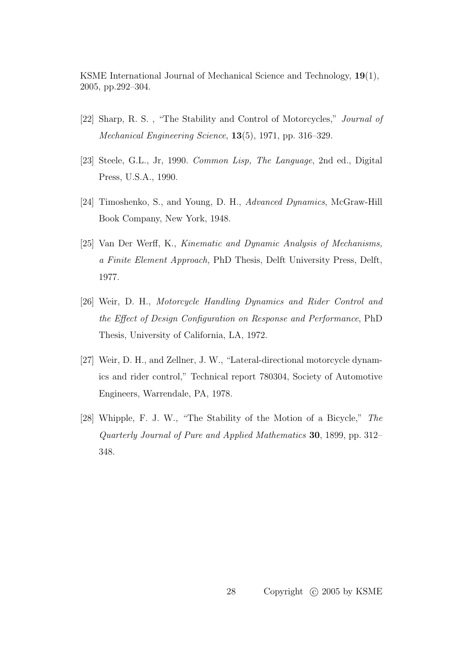- [22] Sharp, R. S. , "The Stability and Control of Motorcycles," Journal of Mechanical Engineering Science, 13(5), 1971, pp. 316–329.
- [23] Steele, G.L., Jr, 1990. Common Lisp, The Language, 2nd ed., Digital Press, U.S.A., 1990.
- [24] Timoshenko, S., and Young, D. H., Advanced Dynamics, McGraw-Hill Book Company, New York, 1948.
- [25] Van Der Werff, K., Kinematic and Dynamic Analysis of Mechanisms, a Finite Element Approach, PhD Thesis, Delft University Press, Delft, 1977.
- [26] Weir, D. H., Motorcycle Handling Dynamics and Rider Control and the Effect of Design Configuration on Response and Performance, PhD Thesis, University of California, LA, 1972.
- [27] Weir, D. H., and Zellner, J. W., "Lateral-directional motorcycle dynamics and rider control," Technical report 780304, Society of Automotive Engineers, Warrendale, PA, 1978.
- [28] Whipple, F. J. W., "The Stability of the Motion of a Bicycle," The Quarterly Journal of Pure and Applied Mathematics 30, 1899, pp. 312– 348.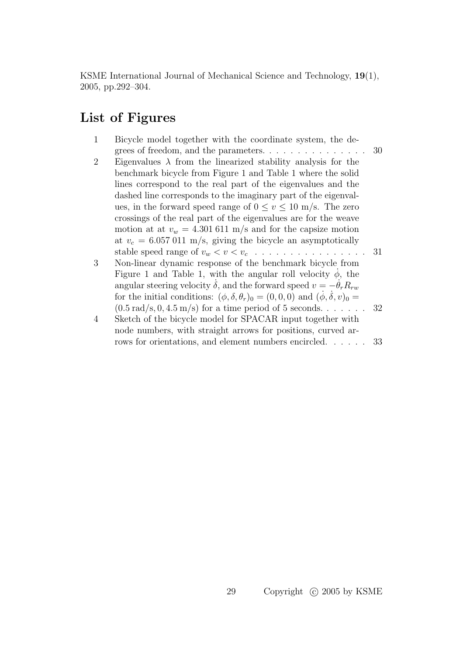### List of Figures

1 Bicycle model together with the coordinate system, the degrees of freedom, and the parameters. . . . . . . . . . . . . . . 30 2 Eigenvalues  $\lambda$  from the linearized stability analysis for the benchmark bicycle from Figure 1 and Table 1 where the solid lines correspond to the real part of the eigenvalues and the dashed line corresponds to the imaginary part of the eigenvalues, in the forward speed range of  $0 \le v \le 10$  m/s. The zero crossings of the real part of the eigenvalues are for the weave motion at at  $v_w = 4.301611 \text{ m/s}$  and for the capsize motion at  $v_c = 6.057011$  m/s, giving the bicycle an asymptotically stable speed range of v<sup>w</sup> < v < v<sup>c</sup> . . . . . . . . . . . . . . . . 31 3 Non-linear dynamic response of the benchmark bicycle from Figure 1 and Table 1, with the angular roll velocity  $\dot{\phi}$ , the angular steering velocity  $\dot{\delta}$ , and the forward speed  $v = -\dot{\theta}_r R_{rw}$ for the initial conditions:  $(\phi, \delta, \theta_r)_0 = (0, 0, 0)$  and  $(\phi, \delta, v)_0 =$  $(0.5 \text{ rad/s}, 0, 4.5 \text{ m/s})$  for a time period of 5 seconds. . . . . . . 32 4 Sketch of the bicycle model for SPACAR input together with node numbers, with straight arrows for positions, curved arrows for orientations, and element numbers encircled. . . . . . 33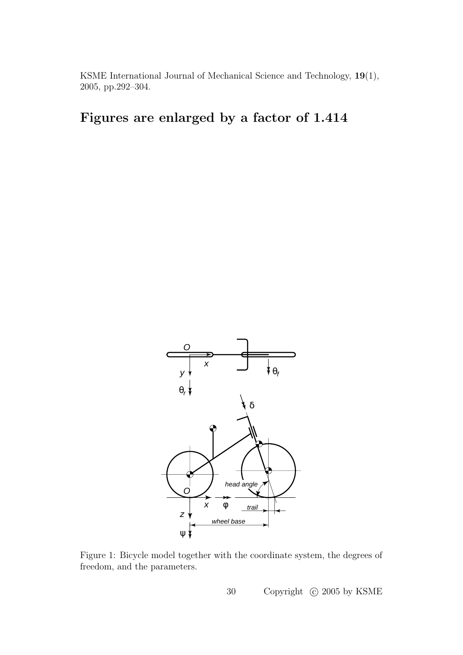## Figures are enlarged by a factor of 1.414



Figure 1: Bicycle model together with the coordinate system, the degrees of freedom, and the parameters.

30 Copyright  $\odot$  2005 by KSME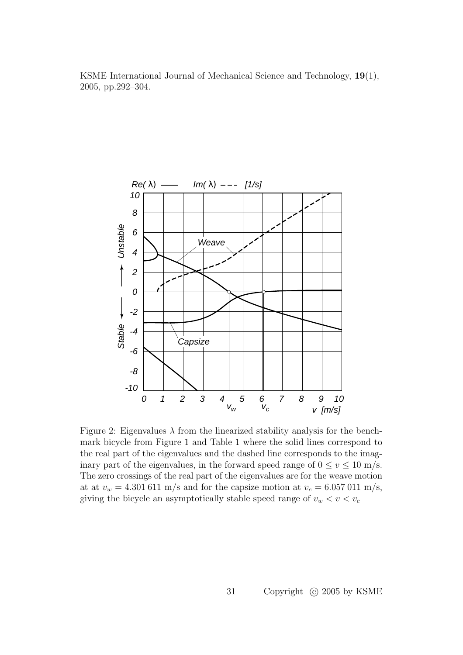

Figure 2: Eigenvalues  $\lambda$  from the linearized stability analysis for the benchmark bicycle from Figure 1 and Table 1 where the solid lines correspond to the real part of the eigenvalues and the dashed line corresponds to the imaginary part of the eigenvalues, in the forward speed range of  $0 \le v \le 10$  m/s. The zero crossings of the real part of the eigenvalues are for the weave motion at at  $v_w = 4.301611 \text{ m/s}$  and for the capsize motion at  $v_c = 6.057011 \text{ m/s}$ , giving the bicycle an asymptotically stable speed range of  $v_w < v < v_c$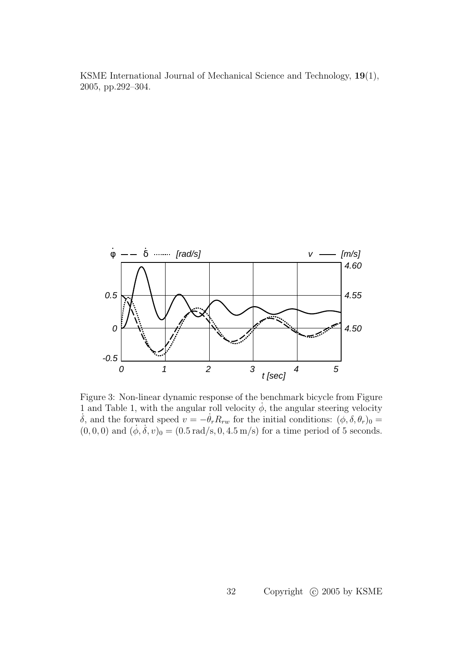

Figure 3: Non-linear dynamic response of the benchmark bicycle from Figure 1 and Table 1, with the angular roll velocity  $\dot{\phi}$ , the angular steering velocity  $\dot{\delta}$ , and the forward speed  $v = -\dot{\theta}_r R_{rw}$  for the initial conditions:  $(\phi, \delta, \theta_r)_0 =$  $(0, 0, 0)$  and  $(\dot{\phi}, \dot{\delta}, v)_0 = (0.5 \text{ rad/s}, 0, 4.5 \text{ m/s})$  for a time period of 5 seconds.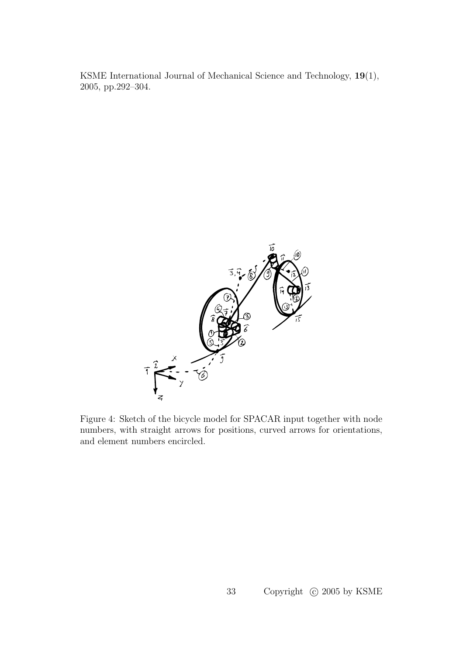

Figure 4: Sketch of the bicycle model for SPACAR input together with node numbers, with straight arrows for positions, curved arrows for orientations, and element numbers encircled.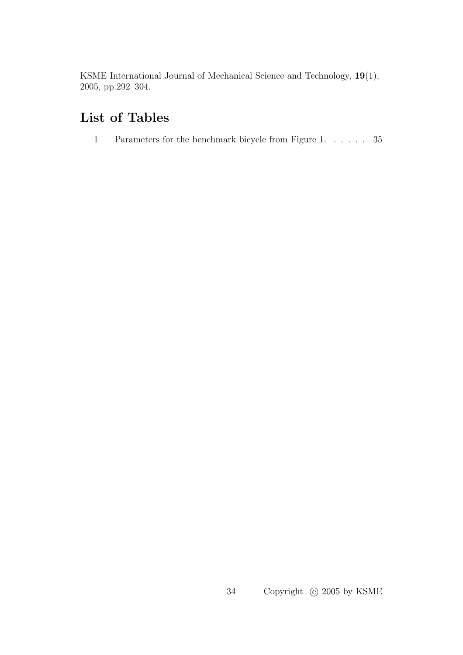## List of Tables

1 Parameters for the benchmark bicycle from Figure 1. . . . . . 35